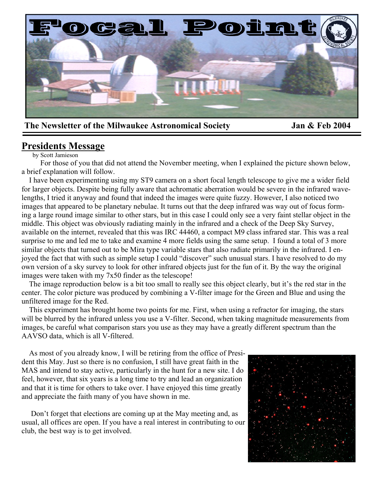

## The Newsletter of the Milwaukee Astronomical Society **Jan & Feb 2004**

# **Presidents Message**

by Scott Jamieson

 For those of you that did not attend the November meeting, when I explained the picture shown below, a brief explanation will follow.

 I have been experimenting using my ST9 camera on a short focal length telescope to give me a wider field for larger objects. Despite being fully aware that achromatic aberration would be severe in the infrared wavelengths, I tried it anyway and found that indeed the images were quite fuzzy. However, I also noticed two images that appeared to be planetary nebulae. It turns out that the deep infrared was way out of focus forming a large round image similar to other stars, but in this case I could only see a very faint stellar object in the middle. This object was obviously radiating mainly in the infrared and a check of the Deep Sky Survey, available on the internet, revealed that this was IRC 44460, a compact M9 class infrared star. This was a real surprise to me and led me to take and examine 4 more fields using the same setup. I found a total of 3 more similar objects that turned out to be Mira type variable stars that also radiate primarily in the infrared. I enjoyed the fact that with such as simple setup I could "discover" such unusual stars. I have resolved to do my own version of a sky survey to look for other infrared objects just for the fun of it. By the way the original images were taken with my 7x50 finder as the telescope!

 The image reproduction below is a bit too small to really see this object clearly, but it's the red star in the center. The color picture was produced by combining a V-filter image for the Green and Blue and using the unfiltered image for the Red.

 This experiment has brought home two points for me. First, when using a refractor for imaging, the stars will be blurred by the infrared unless you use a V-filter. Second, when taking magnitude measurements from images, be careful what comparison stars you use as they may have a greatly different spectrum than the AAVSO data, which is all V-filtered.

 As most of you already know, I will be retiring from the office of President this May. Just so there is no confusion, I still have great faith in the MAS and intend to stay active, particularly in the hunt for a new site. I do feel, however, that six years is a long time to try and lead an organization and that it is time for others to take over. I have enjoyed this time greatly and appreciate the faith many of you have shown in me.

 Don't forget that elections are coming up at the May meeting and, as usual, all offices are open. If you have a real interest in contributing to our club, the best way is to get involved.

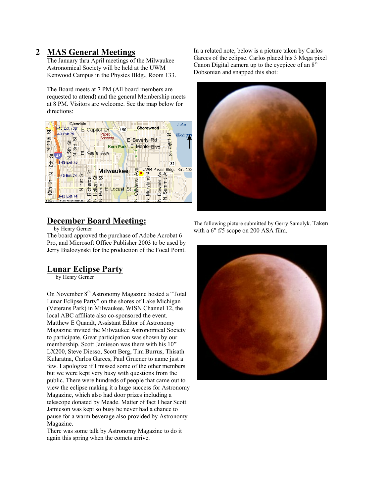## **2 MAS General Meetings**

The January thru April meetings of the Milwaukee Astronomical Society will be held at the UWM Kenwood Campus in the Physics Bldg., Room 133.

The Board meets at 7 PM (All board members are requested to attend) and the general Membership meets at 8 PM. Visitors are welcome. See the map below for directions:



**December Board Meeting:**

by Henry Gerner

The board approved the purchase of Adobe Acrobat 6 Pro, and Microsoft Office Publisher 2003 to be used by Jerry Bialozynski for the production of the Focal Point.

#### **Lunar Eclipse Party**

by Henry Gerner

On November 8<sup>th</sup> Astronomy Magazine hosted a "Total" Lunar Eclipse Party" on the shores of Lake Michigan (Veterans Park) in Milwaukee. WISN Channel 12, the local ABC affiliate also co-sponsored the event. Matthew E Quandt, Assistant Editor of Astronomy Magazine invited the Milwaukee Astronomical Society to participate. Great participation was shown by our membership. Scott Jamieson was there with his 10" LX200, Steve Diesso, Scott Berg, Tim Burrus, Thisath Kularatna, Carlos Garces, Paul Gruener to name just a few. I apologize if I missed some of the other members but we were kept very busy with questions from the public. There were hundreds of people that came out to view the eclipse making it a huge success for Astronomy Magazine, which also had door prizes including a telescope donated by Meade. Matter of fact I hear Scott Jamieson was kept so busy he never had a chance to pause for a warm beverage also provided by Astronomy Magazine.

There was some talk by Astronomy Magazine to do it again this spring when the comets arrive.

In a related note, below is a picture taken by Carlos Garces of the eclipse. Carlos placed his 3 Mega pixel Canon Digital camera up to the eyepiece of an 8" Dobsonian and snapped this shot:



The following picture submitted by Gerry Samolyk. Taken with a 6" f/5 scope on 200 ASA film.

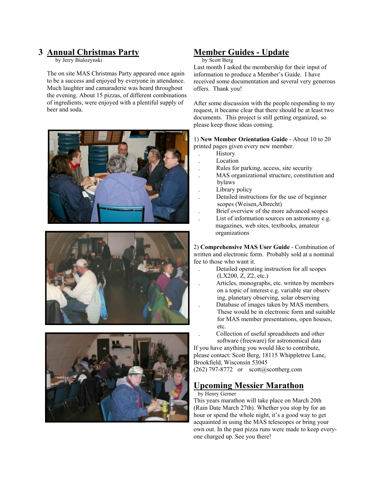## **3 Annual Christmas Party**

by Jerry Bialozynski

The on site MAS Christmas Party appeared once again to be a success and enjoyed by everyone in attendance. Much laughter and camaraderie was heard throughout the evening. About 15 pizzas, of different combinations of ingredients, were enjoyed with a plentiful supply of beer and soda.







## **Member Guides - Update**

#### by Scott Berg

Last month I asked the membership for their input of information to produce a Member's Guide. I have received some documentation and several very generous offers. Thank you!

After some discussion with the people responding to my request, it became clear that there should be at least two documents. This project is still getting organized, so please keep those ideas coming.

1) **New Member Orientation Guide** - About 10 to 20 printed pages given every new member.

- . History
- . Location
- . Rules for parking, access, site security
- . MAS organizational structure, constitution and bylaws
- Library policy
- . Detailed instructions for the use of beginner scopes (Weisen,Albrecht)
- . Brief overview of the more advanced scopes
- . List of information sources on astronomy e.g. magazines, web sites, textbooks, amateur organizations

2) **Comprehensive MAS User Guide** - Combination of written and electronic form. Probably sold at a nominal fee to those who want it.

- . Detailed operating instruction for all scopes (LX200, Z, Z2, etc.)
- . Articles, monographs, etc. written by members on a topic of interest e.g. variable star observ ing, planetary observing, solar observing . Database of images taken by MAS members. These would be in electronic form and suitable
- for MAS member presentations, open houses, etc.

 . Collection of useful spreadsheets and other software (freeware) for astronomical data

If you have anything you would like to contribute, please contact: Scott Berg, 18115 Whippletree Lane, Brookfield, Wisconsin 53045 (262) 797-8772 or  $scott@scottberg.com$ 

# **Upcoming Messier Marathon**

by Henry Gerner

This years marathon will take place on March 20th (Rain Date March 27th). Whether you stop by for an hour or spend the whole night, it's a good way to get acquainted in using the MAS telescopes or bring your own out. In the past pizza runs were made to keep everyone charged up. See you there!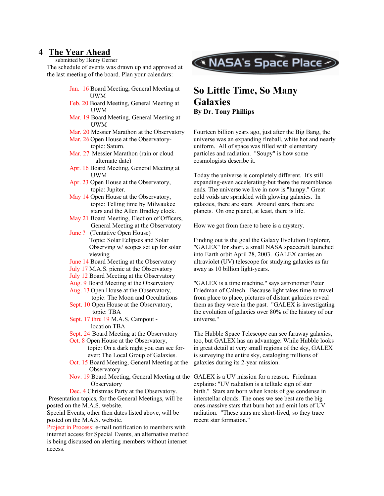#### **4 The Year Ahead**

submitted by Henry Gerner

The schedule of events was drawn up and approved at the last meeting of the board. Plan your calendars:

- Jan. 16 Board Meeting, General Meeting at UWM
- Feb. 20 Board Meeting, General Meeting at UWM
- Mar. 19 Board Meeting, General Meeting at UWM
- Mar. 20 Messier Marathon at the Observatory
- Mar. 26 Open House at the Observatory topic: Saturn.

Mar. 27 Messier Marathon (rain or cloud alternate date)

- Apr. 16 Board Meeting, General Meeting at UWM
- Apr. 23 Open House at the Observatory, topic: Jupiter.
- May 14 Open House at the Observatory, topic: Telling time by Milwaukee stars and the Allen Bradley clock.
- May 21 Board Meeting, Election of Officers, General Meeting at the Observatory
- June ? (Tentative Open House) Topic: Solar Eclipses and Solar Observing w/ scopes set up for solar viewing
- June 14 Board Meeting at the Observatory
- July 17 M.A.S. picnic at the Observatory
- July 12 Board Meeting at the Observatory
- Aug. 9 Board Meeting at the Observatory
- Aug. 13 Open House at the Observatory, topic: The Moon and Occultations
- Sept. 10 Open House at the Observatory, topic: TBA
- Sept. 17 thru 19 M.A.S. Campout location TBA
- Sept. 24 Board Meeting at the Observatory
- Oct. 8 Open House at the Observatory, topic: On a dark night you can see for ever: The Local Group of Galaxies.
- Oct. 15 Board Meeting, General Meeting at the **Observatory**
- **Observatory**

Dec. 4 Christmas Party at the Observatory. Presentation topics, for the General Meetings, will be posted on the M.A.S. website.

Special Events, other then dates listed above, will be posted on the M.A.S. website.

Project in Process: e-mail notification to members with internet access for Special Events, an alternative method is being discussed on alerting members without internet access.



## **So Little Time, So Many Galaxies By Dr. Tony Phillips**

Fourteen billion years ago, just after the Big Bang, the universe was an expanding fireball, white hot and nearly uniform. All of space was filled with elementary particles and radiation. "Soupy" is how some cosmologists describe it.

Today the universe is completely different. It's still expanding-even accelerating-but there the resemblance ends. The universe we live in now is "lumpy." Great cold voids are sprinkled with glowing galaxies. In galaxies, there are stars. Around stars, there are planets. On one planet, at least, there is life.

How we got from there to here is a mystery.

Finding out is the goal the Galaxy Evolution Explorer, "GALEX" for short, a small NASA spacecraft launched into Earth orbit April 28, 2003. GALEX carries an ultraviolet (UV) telescope for studying galaxies as far away as 10 billion light-years.

"GALEX is a time machine," says astronomer Peter Friedman of Caltech. Because light takes time to travel from place to place, pictures of distant galaxies reveal them as they were in the past. "GALEX is investigating the evolution of galaxies over 80% of the history of our universe."

The Hubble Space Telescope can see faraway galaxies, too, but GALEX has an advantage: While Hubble looks in great detail at very small regions of the sky, GALEX is surveying the entire sky, cataloging millions of galaxies during its 2-year mission.

Nov. 19 Board Meeting, General Meeting at the GALEX is a UV mission for a reason. Friedman explains: "UV radiation is a telltale sign of star birth." Stars are born when knots of gas condense in interstellar clouds. The ones we see best are the big ones-massive stars that burn hot and emit lots of UV radiation. "These stars are short-lived, so they trace recent star formation."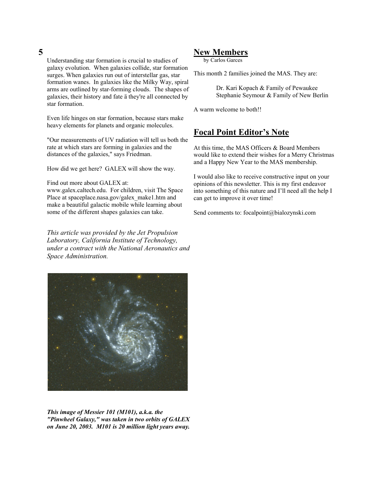#### **5**

Understanding star formation is crucial to studies of galaxy evolution. When galaxies collide, star formation surges. When galaxies run out of interstellar gas, star formation wanes. In galaxies like the Milky Way, spiral arms are outlined by star-forming clouds. The shapes of galaxies, their history and fate ä they're all connected by star formation.

Even life hinges on star formation, because stars make heavy elements for planets and organic molecules.

"Our measurements of UV radiation will tell us both the rate at which stars are forming in galaxies and the distances of the galaxies," says Friedman.

How did we get here? GALEX will show the way.

Find out more about GALEX at:

www.galex.caltech.edu. For children, visit The Space Place at spaceplace.nasa.gov/galex\_make1.htm and make a beautiful galactic mobile while learning about some of the different shapes galaxies can take.

*This article was provided by the Jet Propulsion Laboratory, California Institute of Technology, under a contract with the National Aeronautics and Space Administration.*



*This image of Messier 101 (M101), a.k.a. the "Pinwheel Galaxy," was taken in two orbits of GALEX on June 20, 2003. M101 is 20 million light years away.* 

#### **New Members**

by Carlos Garces

This month 2 families joined the MAS. They are:

 Dr. Kari Kopach & Family of Pewaukee Stephanie Seymour & Family of New Berlin

A warm welcome to both!!

### **Focal Point Editor's Note**

At this time, the MAS Officers & Board Members would like to extend their wishes for a Merry Christmas and a Happy New Year to the MAS membership.

I would also like to receive constructive input on your opinions of this newsletter. This is my first endeavor into something of this nature and I'll need all the help I can get to improve it over time!

Send comments to: focalpoint@bialozynski.com